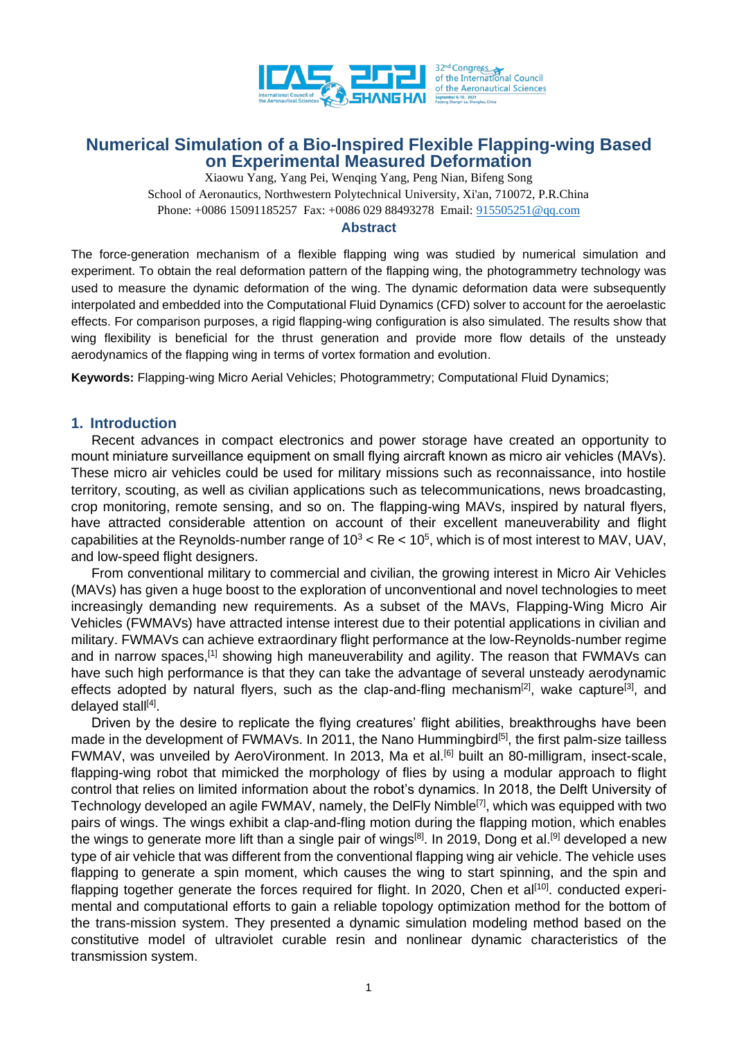

Xiaowu Yang, Yang Pei, Wenqing Yang, Peng Nian, Bifeng Song School of Aeronautics, Northwestern Polytechnical University, Xi'an, 710072, P.R.China Phone: +0086 15091185257 Fax: +0086 029 88493278 Email: [915505251@qq.com](mailto:915505251@qq.com)

### **Abstract**

The force-generation mechanism of a flexible flapping wing was studied by numerical simulation and experiment. To obtain the real deformation pattern of the flapping wing, the photogrammetry technology was used to measure the dynamic deformation of the wing. The dynamic deformation data were subsequently interpolated and embedded into the Computational Fluid Dynamics (CFD) solver to account for the aeroelastic effects. For comparison purposes, a rigid flapping-wing configuration is also simulated. The results show that wing flexibility is beneficial for the thrust generation and provide more flow details of the unsteady aerodynamics of the flapping wing in terms of vortex formation and evolution.

**Keywords:** Flapping-wing Micro Aerial Vehicles; Photogrammetry; Computational Fluid Dynamics;

### **1. Introduction**

Recent advances in compact electronics and power storage have created an opportunity to mount miniature surveillance equipment on small flying aircraft known as micro air vehicles (MAVs). These micro air vehicles could be used for military missions such as reconnaissance, into hostile territory, scouting, as well as civilian applications such as telecommunications, news broadcasting, crop monitoring, remote sensing, and so on. The flapping-wing MAVs, inspired by natural flyers, have attracted considerable attention on account of their excellent maneuverability and flight capabilities at the Reynolds-number range of  $10^3$  < Re <  $10^5$ , which is of most interest to MAV, UAV, and low-speed flight designers.

From conventional military to commercial and civilian, the growing interest in Micro Air Vehicles (MAVs) has given a huge boost to the exploration of unconventional and novel technologies to meet increasingly demanding new requirements. As a subset of the MAVs, Flapping-Wing Micro Air Vehicles (FWMAVs) have attracted intense interest due to their potential applications in civilian and military. FWMAVs can achieve extraordinary flight performance at the low-Reynolds-number regime and in narrow spaces,<sup>[1]</sup> showing high maneuverability and agility. The reason that FWMAVs can have such high performance is that they can take the advantage of several unsteady aerodynamic effects adopted by natural flyers, such as the clap-and-fling mechanism<sup>[2]</sup>, wake capture<sup>[3]</sup>, and delayed stall<sup>[4]</sup>.

Driven by the desire to replicate the flying creatures' flight abilities, breakthroughs have been made in the development of FWMAVs. In 2011, the Nano Hummingbird<sup>[5]</sup>, the first palm-size tailless FWMAV, was unveiled by AeroVironment. In 2013, Ma et al.<sup>[6]</sup> built an 80-milligram, insect-scale, flapping-wing robot that mimicked the morphology of flies by using a modular approach to flight control that relies on limited information about the robot's dynamics. In 2018, the Delft University of Technology developed an agile FWMAV, namely, the DelFly Nimble<sup>[7]</sup>, which was equipped with two pairs of wings. The wings exhibit a clap-and-fling motion during the flapping motion, which enables the wings to generate more lift than a single pair of wings<sup>[8]</sup>. In 2019, Dong et al.<sup>[9]</sup> developed a new type of air vehicle that was different from the conventional flapping wing air vehicle. The vehicle uses flapping to generate a spin moment, which causes the wing to start spinning, and the spin and flapping together generate the forces required for flight. In 2020, Chen et al<sup>[10]</sup>. conducted experimental and computational efforts to gain a reliable topology optimization method for the bottom of the trans-mission system. They presented a dynamic simulation modeling method based on the constitutive model of ultraviolet curable resin and nonlinear dynamic characteristics of the transmission system.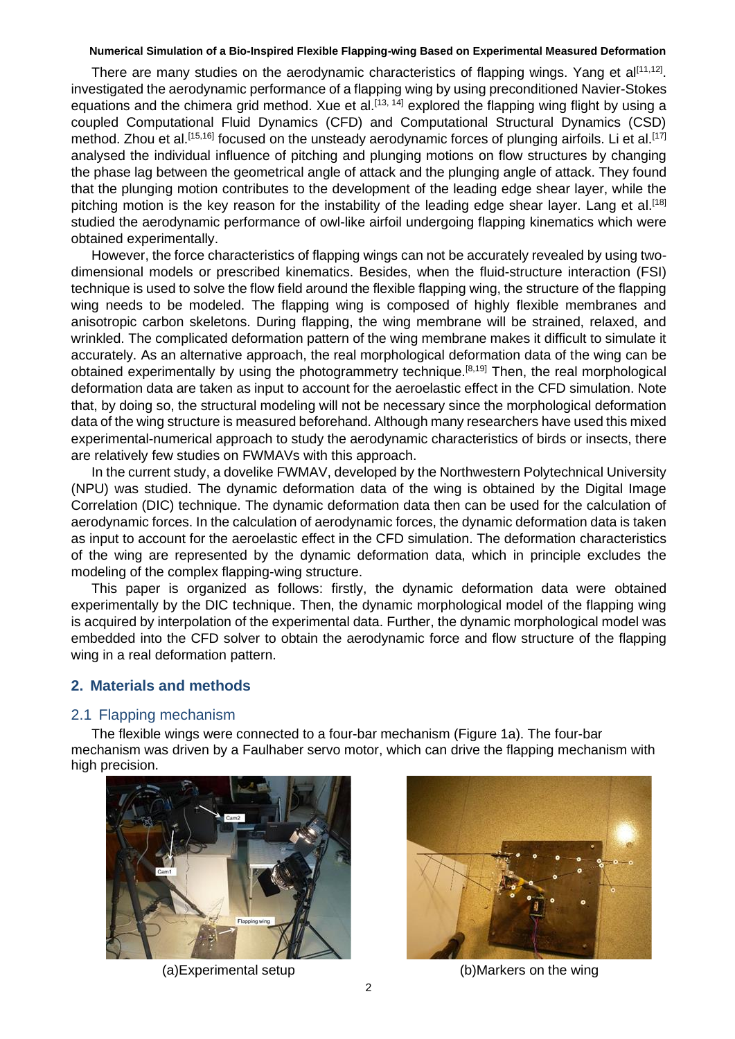There are many studies on the aerodynamic characteristics of flapping wings. Yang et al<sup>[11,12]</sup>. investigated the aerodynamic performance of a flapping wing by using preconditioned Navier-Stokes equations and the chimera grid method. Xue et al.<sup>[13, 14]</sup> explored the flapping wing flight by using a coupled Computational Fluid Dynamics (CFD) and Computational Structural Dynamics (CSD) method. Zhou et al.<sup>[15,16]</sup> focused on the unsteady aerodynamic forces of plunging airfoils. Li et al.<sup>[17]</sup> analysed the individual influence of pitching and plunging motions on flow structures by changing the phase lag between the geometrical angle of attack and the plunging angle of attack. They found that the plunging motion contributes to the development of the leading edge shear layer, while the pitching motion is the key reason for the instability of the leading edge shear layer. Lang et al.<sup>[18]</sup> studied the aerodynamic performance of owl-like airfoil undergoing flapping kinematics which were obtained experimentally.

However, the force characteristics of flapping wings can not be accurately revealed by using twodimensional models or prescribed kinematics. Besides, when the fluid-structure interaction (FSI) technique is used to solve the flow field around the flexible flapping wing, the structure of the flapping wing needs to be modeled. The flapping wing is composed of highly flexible membranes and anisotropic carbon skeletons. During flapping, the wing membrane will be strained, relaxed, and wrinkled. The complicated deformation pattern of the wing membrane makes it difficult to simulate it accurately. As an alternative approach, the real morphological deformation data of the wing can be obtained experimentally by using the photogrammetry technique.<sup>[8,19]</sup> Then, the real morphological deformation data are taken as input to account for the aeroelastic effect in the CFD simulation. Note that, by doing so, the structural modeling will not be necessary since the morphological deformation data of the wing structure is measured beforehand. Although many researchers have used this mixed experimental-numerical approach to study the aerodynamic characteristics of birds or insects, there are relatively few studies on FWMAVs with this approach.

In the current study, a dovelike FWMAV, developed by the Northwestern Polytechnical University (NPU) was studied. The dynamic deformation data of the wing is obtained by the Digital Image Correlation (DIC) technique. The dynamic deformation data then can be used for the calculation of aerodynamic forces. In the calculation of aerodynamic forces, the dynamic deformation data is taken as input to account for the aeroelastic effect in the CFD simulation. The deformation characteristics of the wing are represented by the dynamic deformation data, which in principle excludes the modeling of the complex flapping-wing structure.

This paper is organized as follows: firstly, the dynamic deformation data were obtained experimentally by the DIC technique. Then, the dynamic morphological model of the flapping wing is acquired by interpolation of the experimental data. Further, the dynamic morphological model was embedded into the CFD solver to obtain the aerodynamic force and flow structure of the flapping wing in a real deformation pattern.

## **2. Materials and methods**

### 2.1 Flapping mechanism

The flexible wings were connected to a four-bar mechanism (Figure 1a). The four-bar mechanism was driven by a Faulhaber servo motor, which can drive the flapping mechanism with high precision.





(a)Experimental setup (b)Markers on the wing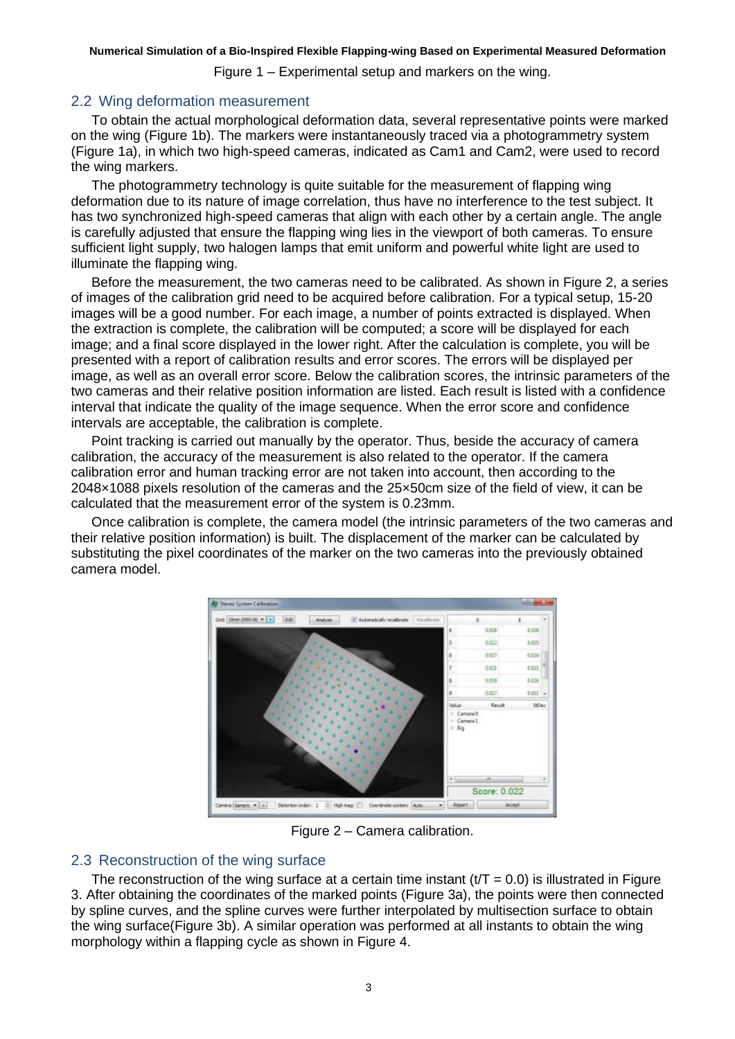Figure 1 – Experimental setup and markers on the wing.

## 2.2 Wing deformation measurement

To obtain the actual morphological deformation data, several representative points were marked on the wing (Figure 1b). The markers were instantaneously traced via a photogrammetry system (Figure 1a), in which two high-speed cameras, indicated as Cam1 and Cam2, were used to record the wing markers.

The photogrammetry technology is quite suitable for the measurement of flapping wing deformation due to its nature of image correlation, thus have no interference to the test subject. It has two synchronized high-speed cameras that align with each other by a certain angle. The angle is carefully adjusted that ensure the flapping wing lies in the viewport of both cameras. To ensure sufficient light supply, two halogen lamps that emit uniform and powerful white light are used to illuminate the flapping wing.

Before the measurement, the two cameras need to be calibrated. As shown in Figure 2, a series of images of the calibration grid need to be acquired before calibration. For a typical setup, 15-20 images will be a good number. For each image, a number of points extracted is displayed. When the extraction is complete, the calibration will be computed; a score will be displayed for each image; and a final score displayed in the lower right. After the calculation is complete, you will be presented with a report of calibration results and error scores. The errors will be displayed per image, as well as an overall error score. Below the calibration scores, the intrinsic parameters of the two cameras and their relative position information are listed. Each result is listed with a confidence interval that indicate the quality of the image sequence. When the error score and confidence intervals are acceptable, the calibration is complete.

Point tracking is carried out manually by the operator. Thus, beside the accuracy of camera calibration, the accuracy of the measurement is also related to the operator. If the camera calibration error and human tracking error are not taken into account, then according to the 2048×1088 pixels resolution of the cameras and the 25×50cm size of the field of view, it can be calculated that the measurement error of the system is 0.23mm.

Once calibration is complete, the camera model (the intrinsic parameters of the two cameras and their relative position information) is built. The displacement of the marker can be calculated by substituting the pixel coordinates of the marker on the two cameras into the previously obtained camera model.



Figure 2 – Camera calibration.

# 2.3 Reconstruction of the wing surface

The reconstruction of the wing surface at a certain time instant  $(t/T = 0.0)$  is illustrated in Figure 3. After obtaining the coordinates of the marked points (Figure 3a), the points were then connected by spline curves, and the spline curves were further interpolated by multisection surface to obtain the wing surface(Figure 3b). A similar operation was performed at all instants to obtain the wing morphology within a flapping cycle as shown in Figure 4.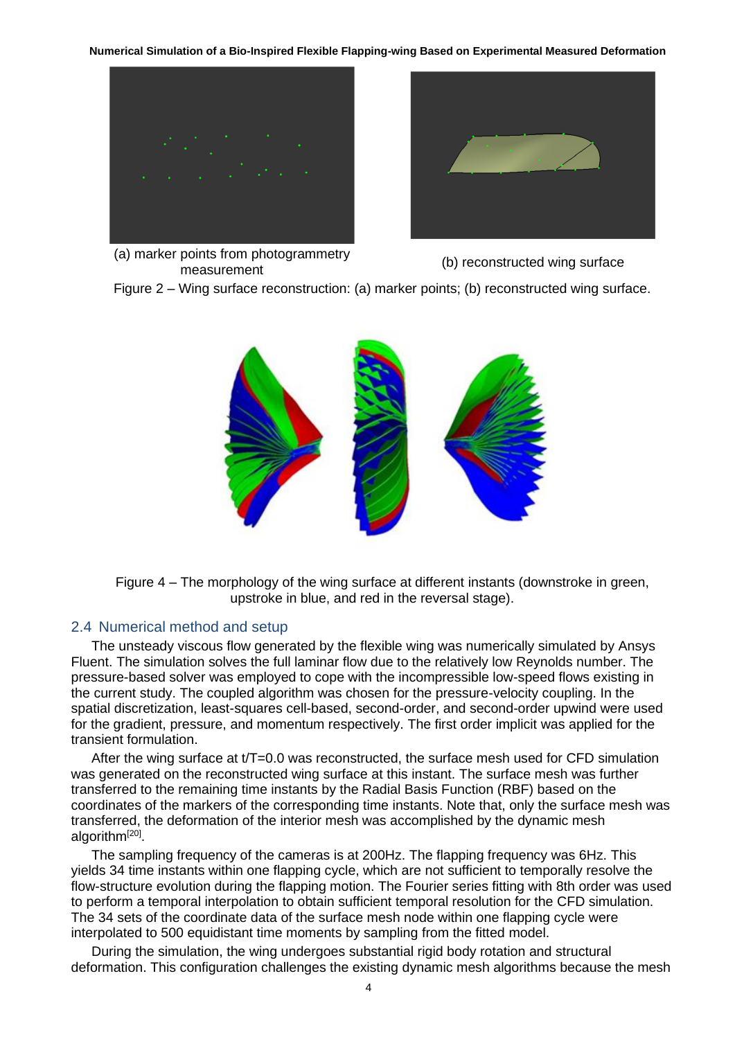



(a) marker points from photogrammetry points noni photogrammeny<br>measurement (b) reconstructed wing surface

Figure 2 – Wing surface reconstruction: (a) marker points; (b) reconstructed wing surface.



Figure 4 – The morphology of the wing surface at different instants (downstroke in green, upstroke in blue, and red in the reversal stage).

## 2.4 Numerical method and setup

The unsteady viscous flow generated by the flexible wing was numerically simulated by Ansys Fluent. The simulation solves the full laminar flow due to the relatively low Reynolds number. The pressure-based solver was employed to cope with the incompressible low-speed flows existing in the current study. The coupled algorithm was chosen for the pressure-velocity coupling. In the spatial discretization, least-squares cell-based, second-order, and second-order upwind were used for the gradient, pressure, and momentum respectively. The first order implicit was applied for the transient formulation.

After the wing surface at t/T=0.0 was reconstructed, the surface mesh used for CFD simulation was generated on the reconstructed wing surface at this instant. The surface mesh was further transferred to the remaining time instants by the Radial Basis Function (RBF) based on the coordinates of the markers of the corresponding time instants. Note that, only the surface mesh was transferred, the deformation of the interior mesh was accomplished by the dynamic mesh algorithm<sup>[20]</sup>.

The sampling frequency of the cameras is at 200Hz. The flapping frequency was 6Hz. This yields 34 time instants within one flapping cycle, which are not sufficient to temporally resolve the flow-structure evolution during the flapping motion. The Fourier series fitting with 8th order was used to perform a temporal interpolation to obtain sufficient temporal resolution for the CFD simulation. The 34 sets of the coordinate data of the surface mesh node within one flapping cycle were interpolated to 500 equidistant time moments by sampling from the fitted model.

During the simulation, the wing undergoes substantial rigid body rotation and structural deformation. This configuration challenges the existing dynamic mesh algorithms because the mesh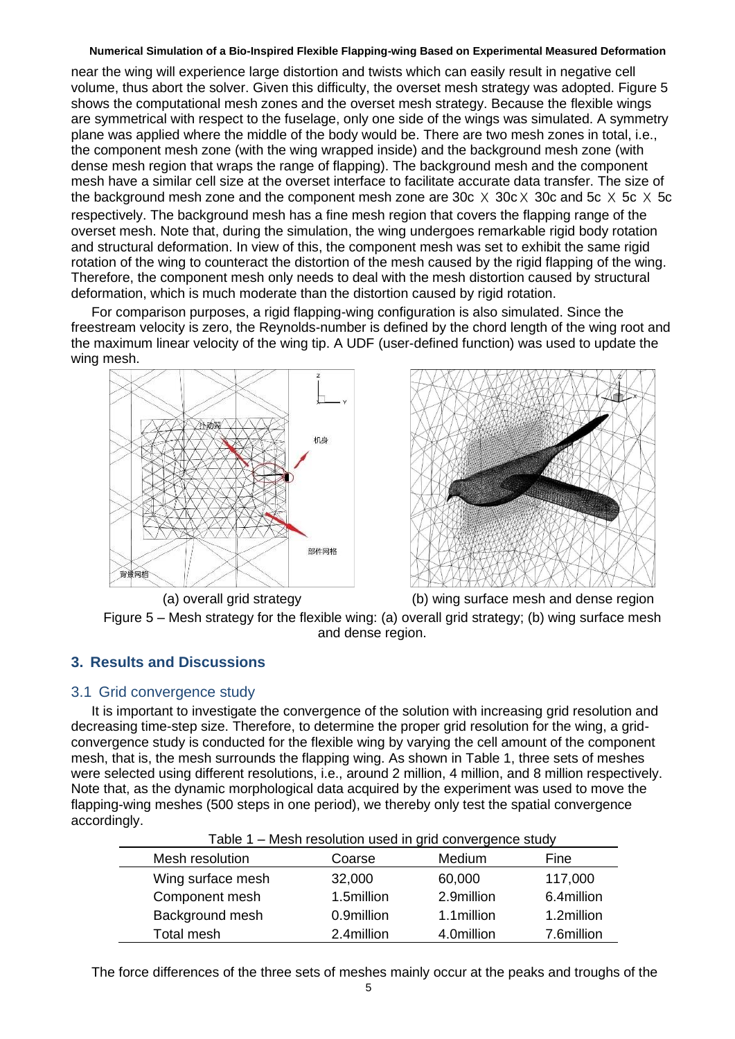near the wing will experience large distortion and twists which can easily result in negative cell volume, thus abort the solver. Given this difficulty, the overset mesh strategy was adopted. Figure 5 shows the computational mesh zones and the overset mesh strategy. Because the flexible wings are symmetrical with respect to the fuselage, only one side of the wings was simulated. A symmetry plane was applied where the middle of the body would be. There are two mesh zones in total, i.e., the component mesh zone (with the wing wrapped inside) and the background mesh zone (with dense mesh region that wraps the range of flapping). The background mesh and the component mesh have a similar cell size at the overset interface to facilitate accurate data transfer. The size of the background mesh zone and the component mesh zone are 30c  $\times$  30c  $\times$  30c and 5c  $\times$  5c  $\times$  5c respectively. The background mesh has a fine mesh region that covers the flapping range of the overset mesh. Note that, during the simulation, the wing undergoes remarkable rigid body rotation and structural deformation. In view of this, the component mesh was set to exhibit the same rigid rotation of the wing to counteract the distortion of the mesh caused by the rigid flapping of the wing. Therefore, the component mesh only needs to deal with the mesh distortion caused by structural deformation, which is much moderate than the distortion caused by rigid rotation.

For comparison purposes, a rigid flapping-wing configuration is also simulated. Since the freestream velocity is zero, the Reynolds-number is defined by the chord length of the wing root and the maximum linear velocity of the wing tip. A UDF (user-defined function) was used to update the wing mesh.





(a) overall grid strategy (b) wing surface mesh and dense region Figure 5 – Mesh strategy for the flexible wing: (a) overall grid strategy; (b) wing surface mesh and dense region.

# **3. Results and Discussions**

## 3.1 Grid convergence study

It is important to investigate the convergence of the solution with increasing grid resolution and decreasing time-step size. Therefore, to determine the proper grid resolution for the wing, a gridconvergence study is conducted for the flexible wing by varying the cell amount of the component mesh, that is, the mesh surrounds the flapping wing. As shown in Table 1, three sets of meshes were selected using different resolutions, i.e., around 2 million, 4 million, and 8 million respectively. Note that, as the dynamic morphological data acquired by the experiment was used to move the flapping-wing meshes (500 steps in one period), we thereby only test the spatial convergence accordingly.

| Table 1 – Mesh resolution used in grid convergence study |            |             |            |
|----------------------------------------------------------|------------|-------------|------------|
| Mesh resolution                                          | Coarse     | Medium      | Fine       |
| Wing surface mesh                                        | 32,000     | 60,000      | 117,000    |
| Component mesh                                           | 1.5million | 2.9million  | 6.4million |
| Background mesh                                          | 0.9million | 1.1 million | 1.2million |
| Total mesh                                               | 2.4million | 4.0million  | 7.6million |

The force differences of the three sets of meshes mainly occur at the peaks and troughs of the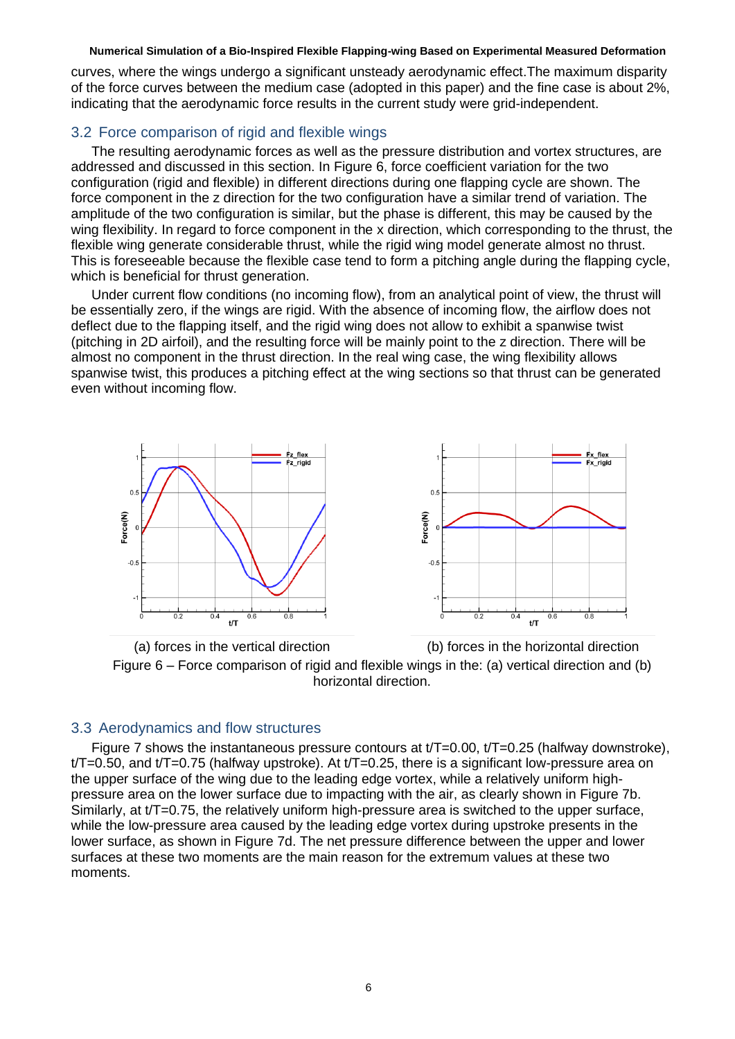curves, where the wings undergo a significant unsteady aerodynamic effect.The maximum disparity of the force curves between the medium case (adopted in this paper) and the fine case is about 2%, indicating that the aerodynamic force results in the current study were grid-independent.

## 3.2 Force comparison of rigid and flexible wings

The resulting aerodynamic forces as well as the pressure distribution and vortex structures, are addressed and discussed in this section. In Figure 6, force coefficient variation for the two configuration (rigid and flexible) in different directions during one flapping cycle are shown. The force component in the z direction for the two configuration have a similar trend of variation. The amplitude of the two configuration is similar, but the phase is different, this may be caused by the wing flexibility. In regard to force component in the x direction, which corresponding to the thrust, the flexible wing generate considerable thrust, while the rigid wing model generate almost no thrust. This is foreseeable because the flexible case tend to form a pitching angle during the flapping cycle, which is beneficial for thrust generation.

Under current flow conditions (no incoming flow), from an analytical point of view, the thrust will be essentially zero, if the wings are rigid. With the absence of incoming flow, the airflow does not deflect due to the flapping itself, and the rigid wing does not allow to exhibit a spanwise twist (pitching in 2D airfoil), and the resulting force will be mainly point to the z direction. There will be almost no component in the thrust direction. In the real wing case, the wing flexibility allows spanwise twist, this produces a pitching effect at the wing sections so that thrust can be generated even without incoming flow.



(a) forces in the vertical direction (b) forces in the horizontal direction Figure 6 – Force comparison of rigid and flexible wings in the: (a) vertical direction and (b) horizontal direction.

## 3.3 Aerodynamics and flow structures

Figure 7 shows the instantaneous pressure contours at  $t/T=0.00$ ,  $t/T=0.25$  (halfway downstroke),  $t/T=0.50$ , and  $t/T=0.75$  (halfway upstroke). At  $t/T=0.25$ , there is a significant low-pressure area on the upper surface of the wing due to the leading edge vortex, while a relatively uniform highpressure area on the lower surface due to impacting with the air, as clearly shown in Figure 7b. Similarly, at  $t/T = 0.75$ , the relatively uniform high-pressure area is switched to the upper surface, while the low-pressure area caused by the leading edge vortex during upstroke presents in the lower surface, as shown in Figure 7d. The net pressure difference between the upper and lower surfaces at these two moments are the main reason for the extremum values at these two moments.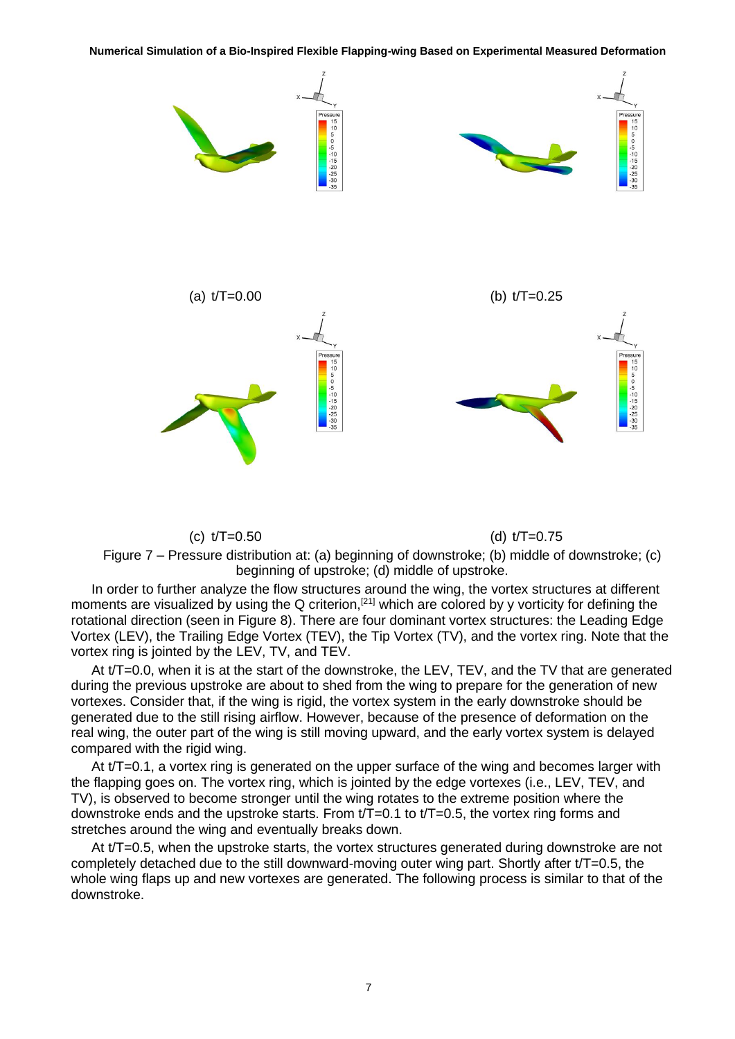**Numerical Simulation of a Bio-Inspired Flexible Flapping-wing Based on Experimental Measured Deformation**



(c)  $t/T=0.50$  (d)  $t/T=0.75$ 

Figure 7 – Pressure distribution at: (a) beginning of downstroke; (b) middle of downstroke; (c) beginning of upstroke; (d) middle of upstroke.

In order to further analyze the flow structures around the wing, the vortex structures at different moments are visualized by using the Q criterion,<sup>[21]</sup> which are colored by y vorticity for defining the rotational direction (seen in Figure 8). There are four dominant vortex structures: the Leading Edge Vortex (LEV), the Trailing Edge Vortex (TEV), the Tip Vortex (TV), and the vortex ring. Note that the vortex ring is jointed by the LEV, TV, and TEV.

At t/T=0.0, when it is at the start of the downstroke, the LEV, TEV, and the TV that are generated during the previous upstroke are about to shed from the wing to prepare for the generation of new vortexes. Consider that, if the wing is rigid, the vortex system in the early downstroke should be generated due to the still rising airflow. However, because of the presence of deformation on the real wing, the outer part of the wing is still moving upward, and the early vortex system is delayed compared with the rigid wing.

At t/T=0.1, a vortex ring is generated on the upper surface of the wing and becomes larger with the flapping goes on. The vortex ring, which is jointed by the edge vortexes (i.e., LEV, TEV, and TV), is observed to become stronger until the wing rotates to the extreme position where the downstroke ends and the upstroke starts. From t/T=0.1 to t/T=0.5, the vortex ring forms and stretches around the wing and eventually breaks down.

At t/T=0.5, when the upstroke starts, the vortex structures generated during downstroke are not completely detached due to the still downward-moving outer wing part. Shortly after t/T=0.5, the whole wing flaps up and new vortexes are generated. The following process is similar to that of the downstroke.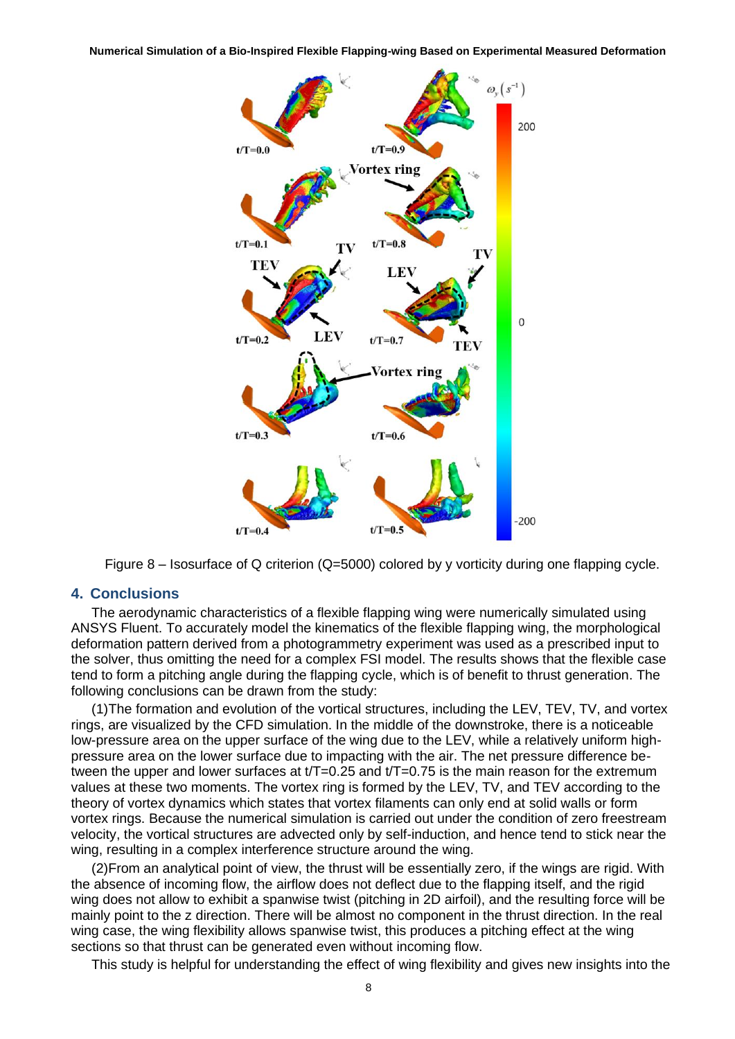

Figure 8 – Isosurface of Q criterion (Q=5000) colored by y vorticity during one flapping cycle.

### **4. Conclusions**

The aerodynamic characteristics of a flexible flapping wing were numerically simulated using ANSYS Fluent. To accurately model the kinematics of the flexible flapping wing, the morphological deformation pattern derived from a photogrammetry experiment was used as a prescribed input to the solver, thus omitting the need for a complex FSI model. The results shows that the flexible case tend to form a pitching angle during the flapping cycle, which is of benefit to thrust generation. The following conclusions can be drawn from the study:

(1)The formation and evolution of the vortical structures, including the LEV, TEV, TV, and vortex rings, are visualized by the CFD simulation. In the middle of the downstroke, there is a noticeable low-pressure area on the upper surface of the wing due to the LEV, while a relatively uniform highpressure area on the lower surface due to impacting with the air. The net pressure difference between the upper and lower surfaces at  $t/T=0.25$  and  $t/T=0.75$  is the main reason for the extremum values at these two moments. The vortex ring is formed by the LEV, TV, and TEV according to the theory of vortex dynamics which states that vortex filaments can only end at solid walls or form vortex rings. Because the numerical simulation is carried out under the condition of zero freestream velocity, the vortical structures are advected only by self-induction, and hence tend to stick near the wing, resulting in a complex interference structure around the wing.

(2)From an analytical point of view, the thrust will be essentially zero, if the wings are rigid. With the absence of incoming flow, the airflow does not deflect due to the flapping itself, and the rigid wing does not allow to exhibit a spanwise twist (pitching in 2D airfoil), and the resulting force will be mainly point to the z direction. There will be almost no component in the thrust direction. In the real wing case, the wing flexibility allows spanwise twist, this produces a pitching effect at the wing sections so that thrust can be generated even without incoming flow.

This study is helpful for understanding the effect of wing flexibility and gives new insights into the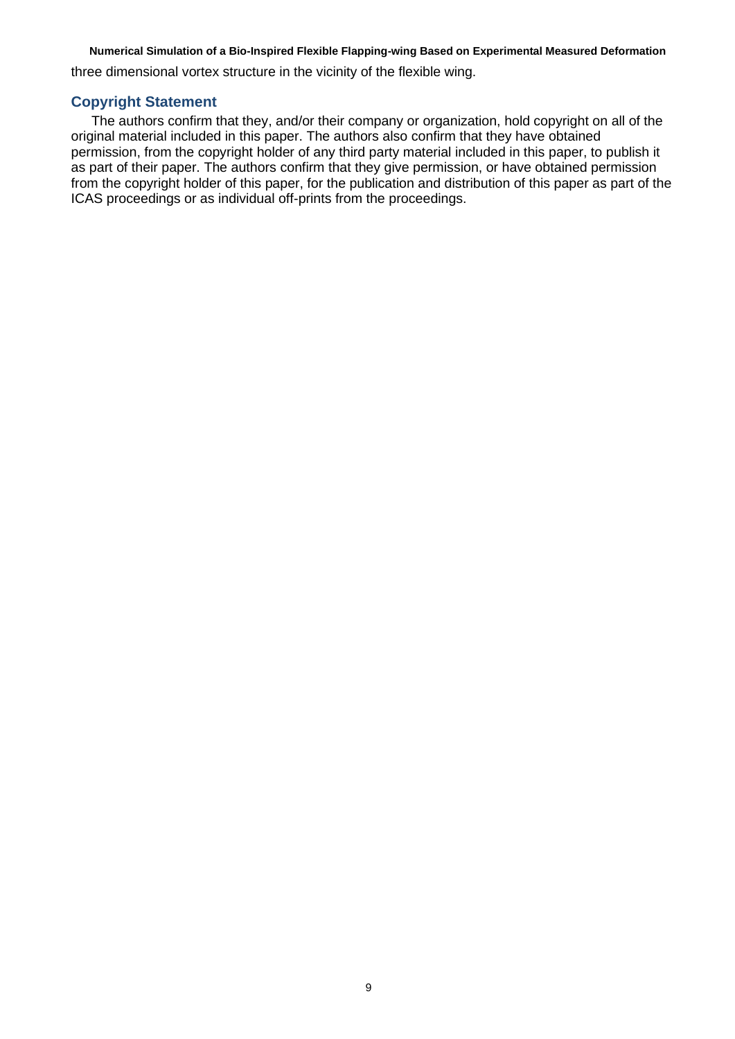three dimensional vortex structure in the vicinity of the flexible wing.

# **Copyright Statement**

The authors confirm that they, and/or their company or organization, hold copyright on all of the original material included in this paper. The authors also confirm that they have obtained permission, from the copyright holder of any third party material included in this paper, to publish it as part of their paper. The authors confirm that they give permission, or have obtained permission from the copyright holder of this paper, for the publication and distribution of this paper as part of the ICAS proceedings or as individual off-prints from the proceedings.